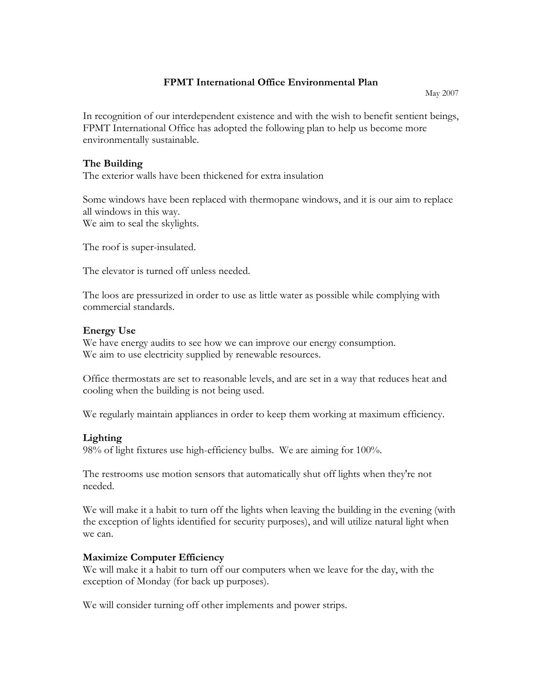### **FPMT International Office Environmental Plan**

May 2007

In recognition of our interdependent existence and with the wish to benefit sentient beings, FPMT International Office has adopted the following plan to help us become more environmentally sustainable.

#### **The Building**

The exterior walls have been thickened for extra insulation

Some windows have been replaced with thermopane windows, and it is our aim to replace all windows in this way. We aim to seal the skylights.

The roof is super-insulated.

The elevator is turned off unless needed.

The loos are pressurized in order to use as little water as possible while complying with commercial standards.

#### **Energy Use**

We have energy audits to see how we can improve our energy consumption. We aim to use electricity supplied by renewable resources.

Office thermostats are set to reasonable levels, and are set in a way that reduces heat and cooling when the building is not being used.

We regularly maintain appliances in order to keep them working at maximum efficiency.

# **Lighting**

98% of light fixtures use high-efficiency bulbs. We are aiming for 100%.

The restrooms use motion sensors that automatically shut off lights when they're not needed.

We will make it a habit to turn off the lights when leaving the building in the evening (with the exception of lights identified for security purposes), and will utilize natural light when we can.

#### **Maximize Computer Efficiency**

We will make it a habit to turn off our computers when we leave for the day, with the exception of Monday (for back up purposes).

We will consider turning off other implements and power strips.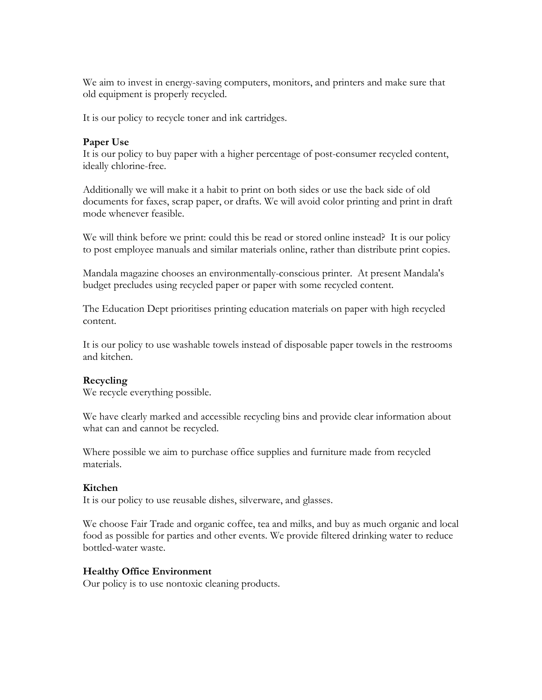We aim to invest in energy-saving computers, monitors, and printers and make sure that old equipment is properly recycled.

It is our policy to recycle toner and ink cartridges.

#### **Paper Use**

It is our policy to buy paper with a higher percentage of post-consumer recycled content, ideally chlorine-free.

Additionally we will make it a habit to print on both sides or use the back side of old documents for faxes, scrap paper, or drafts. We will avoid color printing and print in draft mode whenever feasible.

We will think before we print: could this be read or stored online instead? It is our policy to post employee manuals and similar materials online, rather than distribute print copies.

Mandala magazine chooses an environmentally-conscious printer. At present Mandala's budget precludes using recycled paper or paper with some recycled content.

The Education Dept prioritises printing education materials on paper with high recycled content.

It is our policy to use washable towels instead of disposable paper towels in the restrooms and kitchen.

#### **Recycling**

We recycle everything possible.

We have clearly marked and accessible recycling bins and provide clear information about what can and cannot be recycled.

Where possible we aim to purchase [office supplies](http://www.conservatree.com/paper/AddlProductsOfc.shtml) and furniture made from recycled materials.

#### **Kitchen**

It is our policy to use reusable dishes, silverware, and glasses.

We choose [Fair Trade](http://www.transfairusa.org/) and [organic](http://www.ota.com/organic_and_you/coffee_collaboration/buy.html) coffee, tea and milks, and buy as much organic and local [food](http://www.localharvest.org/) as possible for parties and other events. We provide filtered drinking water to reduce [bottled-water](http://www.sierraclub.org/sierra/199905/water.asp) waste.

#### **Healthy Office Environment**

Our policy is to use nontoxic cleaning products.